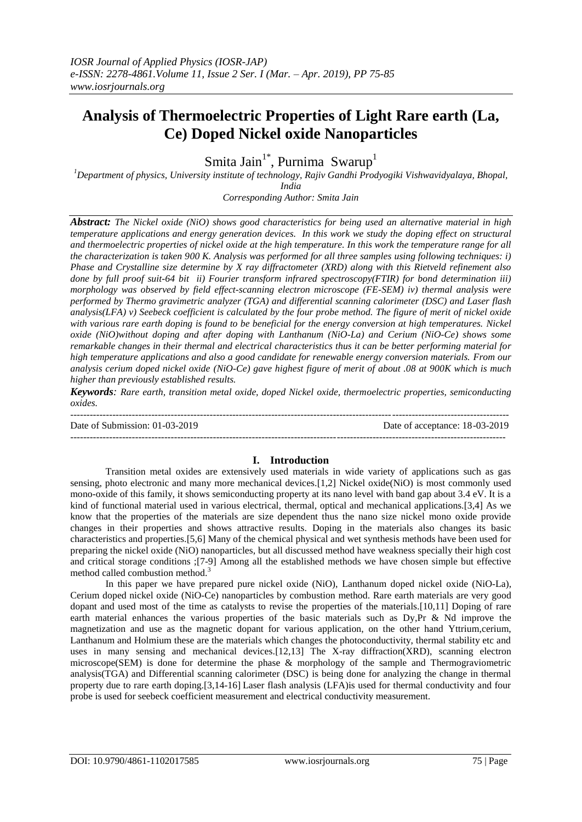# **Analysis of Thermoelectric Properties of Light Rare earth (La, Ce) Doped Nickel oxide Nanoparticles**

Smita Jain<sup>1\*</sup>, Purnima Swarup<sup>1</sup>

*<sup>1</sup>Department of physics, University institute of technology, Rajiv Gandhi Prodyogiki Vishwavidyalaya, Bhopal, India*

*Corresponding Author: Smita Jain*

*Abstract: The Nickel oxide (NiO) shows good characteristics for being used an alternative material in high temperature applications and energy generation devices. In this work we study the doping effect on structural and thermoelectric properties of nickel oxide at the high temperature. In this work the temperature range for all the characterization is taken 900 K. Analysis was performed for all three samples using following techniques: i) Phase and Crystalline size determine by X ray diffractometer (XRD) along with this Rietveld refinement also done by full proof suit-64 bit ii) Fourier transform infrared spectroscopy(FTIR) for bond determination iii) morphology was observed by field effect-scanning electron microscope (FE-SEM) iv) thermal analysis were performed by Thermo gravimetric analyzer (TGA) and differential scanning calorimeter (DSC) and Laser flash analysis(LFA) v) Seebeck coefficient is calculated by the four probe method. The figure of merit of nickel oxide with various rare earth doping is found to be beneficial for the energy conversion at high temperatures. Nickel oxide (NiO)without doping and after doping with Lanthanum (NiO-La) and Cerium (NiO-Ce) shows some remarkable changes in their thermal and electrical characteristics thus it can be better performing material for high temperature applications and also a good candidate for renewable energy conversion materials. From our analysis cerium doped nickel oxide (NiO-Ce) gave highest figure of merit of about .08 at 900K which is much higher than previously established results.*

*Keywords: Rare earth, transition metal oxide, doped Nickel oxide, thermoelectric properties, semiconducting oxides.*

--------------------------------------------------------------------------------------------------------------------------------------- Date of Submission: 01-03-2019 Date of acceptance: 18-03-2019  $-1-\frac{1}{2}$ 

# **I. Introduction**

Transition metal oxides are extensively used materials in wide variety of applications such as gas sensing, photo electronic and many more mechanical devices.[1,2] Nickel oxide(NiO) is most commonly used mono-oxide of this family, it shows semiconducting property at its nano level with band gap about 3.4 eV. It is a kind of functional material used in various electrical, thermal, optical and mechanical applications.[3,4] As we know that the properties of the materials are size dependent thus the nano size nickel mono oxide provide changes in their properties and shows attractive results. Doping in the materials also changes its basic characteristics and properties.[5,6] Many of the chemical physical and wet synthesis methods have been used for preparing the nickel oxide (NiO) nanoparticles, but all discussed method have weakness specially their high cost and critical storage conditions ;[7-9] Among all the established methods we have chosen simple but effective method called combustion method.<sup>3</sup>

In this paper we have prepared pure nickel oxide (NiO), Lanthanum doped nickel oxide (NiO-La), Cerium doped nickel oxide (NiO-Ce) nanoparticles by combustion method. Rare earth materials are very good dopant and used most of the time as catalysts to revise the properties of the materials.[10,11] Doping of rare earth material enhances the various properties of the basic materials such as Dy,Pr & Nd improve the magnetization and use as the magnetic dopant for various application, on the other hand Yttrium,cerium, Lanthanum and Holmium these are the materials which changes the photoconductivity, thermal stability etc and uses in many sensing and mechanical devices.[12,13] The X-ray diffraction(XRD), scanning electron microscope(SEM) is done for determine the phase & morphology of the sample and Thermograviometric analysis(TGA) and Differential scanning calorimeter (DSC) is being done for analyzing the change in thermal property due to rare earth doping.[3,14-16] Laser flash analysis (LFA)is used for thermal conductivity and four probe is used for seebeck coefficient measurement and electrical conductivity measurement.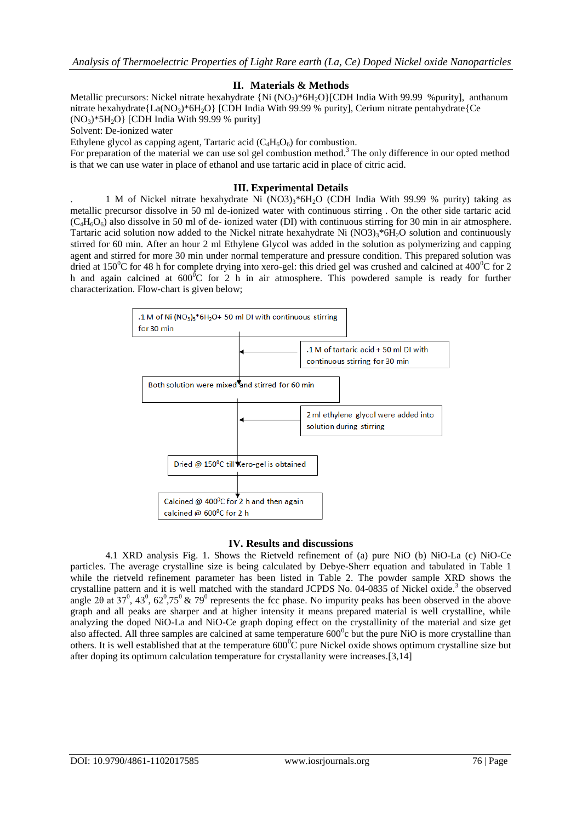# **II. Materials & Methods**

Metallic precursors: Nickel nitrate hexahydrate {Ni (NO<sub>3</sub>)\*6H<sub>2</sub>O}[CDH India With 99.99 %purity], anthanum nitrate hexahydrate ${La(NO_3)*6H_2O}$  [CDH India With 99.99 % purity], Cerium nitrate pentahydrate ${Ce}$  $(NO<sub>3</sub>)$ <sup>\*</sup>5H<sub>2</sub>O} [CDH India With 99.99 % purity]

Solvent: De-ionized water

Ethylene glycol as capping agent, Tartaric acid  $(C_4H_6O_6)$  for combustion.

For preparation of the material we can use sol gel combustion method.<sup>3</sup> The only difference in our opted method is that we can use water in place of ethanol and use tartaric acid in place of citric acid.

# **III. Experimental Details**

1 M of Nickel nitrate hexahydrate Ni (NO3) $3*6H<sub>2</sub>$ O (CDH India With 99.99 % purity) taking as metallic precursor dissolve in 50 ml de-ionized water with continuous stirring . On the other side tartaric acid  $(C_4H_6O_6)$  also dissolve in 50 ml of de- ionized water (DI) with continuous stirring for 30 min in air atmosphere. Tartaric acid solution now added to the Nickel nitrate hexahydrate Ni  $(NO3)_3*6H<sub>2</sub>O$  solution and continuously stirred for 60 min. After an hour 2 ml Ethylene Glycol was added in the solution as polymerizing and capping agent and stirred for more 30 min under normal temperature and pressure condition. This prepared solution was dried at  $150^{\circ}$ C for 48 h for complete drying into xero-gel: this dried gel was crushed and calcined at  $400^{\circ}$ C for 2 h and again calcined at  $600^{\circ}$ C for 2 h in air atmosphere. This powdered sample is ready for further characterization. Flow-chart is given below;



# **IV. Results and discussions**

4.1 XRD analysis Fig. 1. Shows the Rietveld refinement of (a) pure NiO (b) NiO-La (c) NiO-Ce particles. The average crystalline size is being calculated by Debye-Sherr equation and tabulated in Table 1 while the rietveld refinement parameter has been listed in Table 2. The powder sample XRD shows the crystalline pattern and it is well matched with the standard JCPDS No. 04-0835 of Nickel oxide.<sup>3</sup> the observed angle 2 $\theta$  at 37<sup>0</sup>, 43<sup>0</sup>, 62<sup>0</sup>,75<sup>0</sup> & 79<sup>0</sup> represents the fcc phase. No impurity peaks has been observed in the above graph and all peaks are sharper and at higher intensity it means prepared material is well crystalline, while analyzing the doped NiO-La and NiO-Ce graph doping effect on the crystallinity of the material and size get also affected. All three samples are calcined at same temperature  $600^{\circ}$ c but the pure NiO is more crystalline than others. It is well established that at the temperature  $600^{\circ}$ C pure Nickel oxide shows optimum crystalline size but after doping its optimum calculation temperature for crystallanity were increases.[3,14]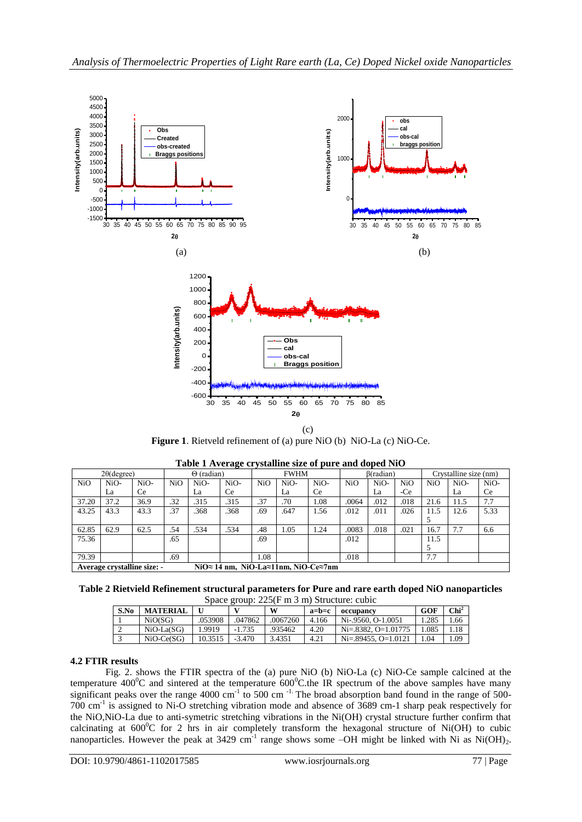

**Figure 1**. Rietveld refinement of (a) pure NiO (b) NiO-La (c) NiO-Ce.

| $2\theta$ (degree) |                                    | $\tilde{}$<br>$\Theta$ (radian) |                  | <b>FWHM</b> |                                     |     | B(radian) |      |                  | Crystalline size (nm) |                  |            |      |      |
|--------------------|------------------------------------|---------------------------------|------------------|-------------|-------------------------------------|-----|-----------|------|------------------|-----------------------|------------------|------------|------|------|
| NiO                | NiO-                               | NiO-                            | N <sub>i</sub> O | NiO-        | NiO-                                | NiO | NiO-      | NiO- | N <sub>i</sub> O | NiO-                  | N <sub>i</sub> O | <b>NiO</b> | NiO- | NiO- |
|                    | La                                 | Ce.                             |                  | La          | <b>Ce</b>                           |     | La        | Ce   |                  | La                    | -Ce              |            | La   | Ce.  |
| 37.20              | 37.2                               | 36.9                            | .32              | .315        | .315                                | .37 | .70       | 1.08 | .0064            | .012                  | .018             | 21.6       | 11.5 | 7.7  |
| 43.25              | 43.3                               | 43.3                            | .37              | .368        | .368                                | .69 | .647      | 1.56 | .012             | .011                  | .026             | 11.5       | 12.6 | 5.33 |
|                    |                                    |                                 |                  |             |                                     |     |           |      |                  |                       |                  |            |      |      |
| 62.85              | 62.9                               | 62.5                            | .54              | .534        | .534                                | .48 | 1.05      | 1.24 | .0083            | .018                  | .021             | 16.7       | 7.7  | 6.6  |
| 75.36              |                                    |                                 | .65              |             |                                     | .69 |           |      | .012             |                       |                  | 11.5       |      |      |
|                    |                                    |                                 |                  |             |                                     |     |           |      |                  |                       |                  |            |      |      |
| 79.39              |                                    |                                 | .69              |             |                                     | .08 |           |      | .018             |                       |                  | 7.7        |      |      |
|                    | <b>Average crystalline size: -</b> |                                 |                  |             | NiO≈ 14 nm. NiO-La≈11nm. NiO-Ce≈7nm |     |           |      |                  |                       |                  |            |      |      |

**Table 1 Average crystalline size of pure and doped NiO**

**Table 2 Rietvield Refinement structural parameters for Pure and rare earth doped NiO nanoparticles** Space group: 225(F m 3 m) Structure: cubic

| S.No | <b>MATERIAL</b> |         | $D_{\rm D}$ uce 210up. 2291 in 9 in Butucture. Cubic<br>w |          | $a = b = c$ | occupancy                | GOF   | Chi <sup>2</sup> |
|------|-----------------|---------|-----------------------------------------------------------|----------|-------------|--------------------------|-------|------------------|
|      | NiO(SG)         | .053908 | 047862                                                    | .0067260 | 4.166       | Ni-.9560, O-1.0051       | 1.285 | .66              |
|      | $NiO-La(SG)$    | 1.9919  | $-1.735$                                                  | .935462  | 4.20        | $Ni = 8382, O = 1.01775$ | .085  | .18              |
|      | $NiO-Ce(SG)$    | 10.3515 | $-3.470$                                                  | 3.4351   | 4.21        | $Ni = 89455$ , O=1.0121  | .04   | .09              |

# **4.2 FTIR results**

Fig. 2. shows the FTIR spectra of the (a) pure NiO (b) NiO-La (c) NiO-Ce sample calcined at the temperature  $400^{\circ}$ C and sintered at the temperature  $600^{\circ}$ C.the IR spectrum of the above samples have many significant peaks over the range 4000 cm<sup>-1</sup> to 500 cm<sup>-1.</sup> The broad absorption band found in the range of 500-700 cm-1 is assigned to Ni-O stretching vibration mode and absence of 3689 cm-1 sharp peak respectively for the NiO,NiO-La due to anti-symetric stretching vibrations in the Ni(OH) crystal structure further confirm that calcinating at  $600^{\circ}$ C for 2 hrs in air completely transform the hexagonal structure of Ni(OH) to cubic nanoparticles. However the peak at 3429 cm<sup>-1</sup> range shows some  $-OH$  might be linked with Ni as Ni(OH)<sub>2</sub>.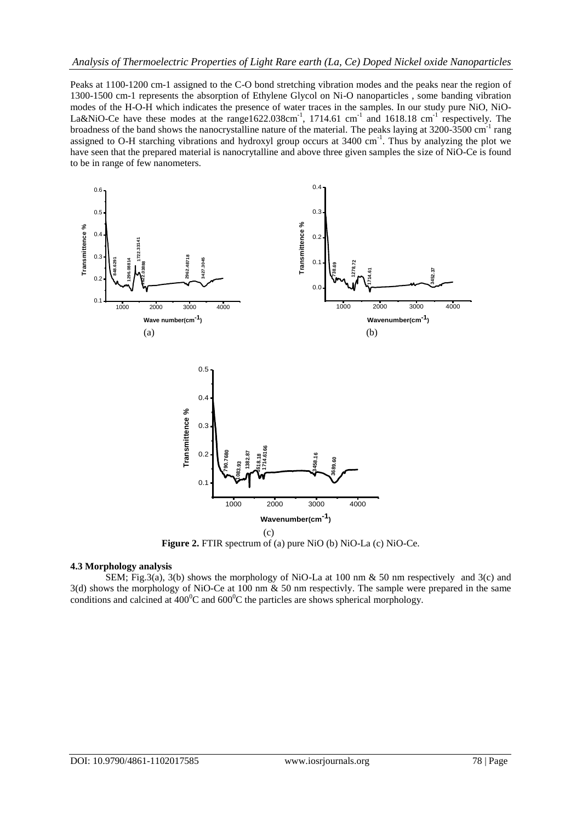Peaks at 1100-1200 cm-1 assigned to the C-O bond stretching vibration modes and the peaks near the region of 1300-1500 cm-1 represents the absorption of Ethylene Glycol on Ni-O nanoparticles , some banding vibration modes of the H-O-H which indicates the presence of water traces in the samples. In our study pure NiO, NiO-La&NiO-Ce have these modes at the range1622.038cm<sup>-1</sup>, 1714.61 cm<sup>-1</sup> and 1618.18 cm<sup>-1</sup> respectively. The broadness of the band shows the nanocrystalline nature of the material. The peaks laying at 3200-3500 cm<sup>-1</sup> rang assigned to O-H starching vibrations and hydroxyl group occurs at 3400 cm<sup>-1</sup>. Thus by analyzing the plot we have seen that the prepared material is nanocrytalline and above three given samples the size of NiO-Ce is found to be in range of few nanometers.



**Figure 2.** FTIR spectrum of (a) pure NiO (b) NiO-La (c) NiO-Ce.

#### **4.3 Morphology analysis**

SEM; Fig.3(a), 3(b) shows the morphology of NiO-La at 100 nm & 50 nm respectively and 3(c) and 3(d) shows the morphology of NiO-Ce at 100 nm & 50 nm respectivly. The sample were prepared in the same conditions and calcined at  $400^{\circ}$ C and  $600^{\circ}$ C the particles are shows spherical morphology.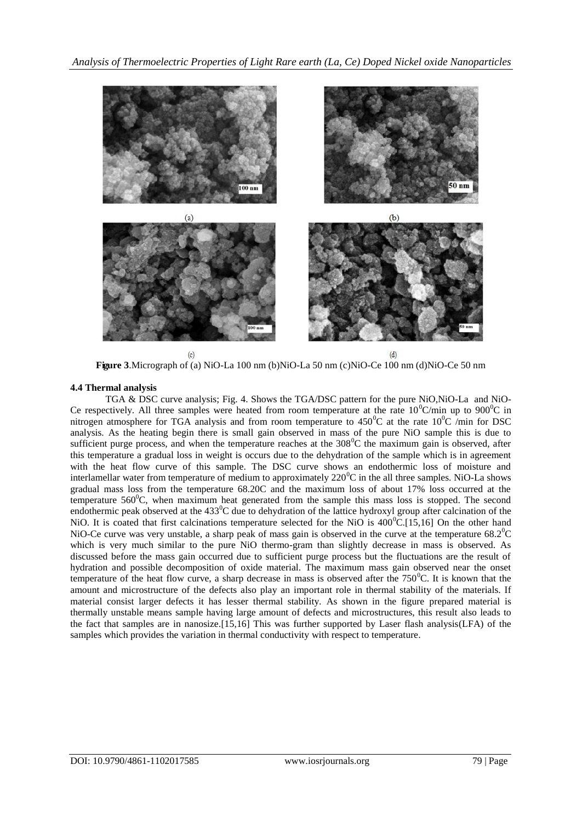

**Figure 3**.Micrograph of (a) NiO-La 100 nm (b)NiO-La 50 nm (c)NiO-Ce 100 nm (d)NiO-Ce 50 nm

# **4.4 Thermal analysis**

TGA & DSC curve analysis; Fig. 4. Shows the TGA/DSC pattern for the pure NiO,NiO-La and NiO-Ce respectively. All three samples were heated from room temperature at the rate  $10^{0}$ C/min up to 900<sup>o</sup>C in nitrogen atmosphere for TGA analysis and from room temperature to  $450^{\circ}$ C at the rate  $10^{\circ}$ C /min for DSC analysis. As the heating begin there is small gain observed in mass of the pure NiO sample this is due to sufficient purge process, and when the temperature reaches at the 308<sup>o</sup>C the maximum gain is observed, after this temperature a gradual loss in weight is occurs due to the dehydration of the sample which is in agreement with the heat flow curve of this sample. The DSC curve shows an endothermic loss of moisture and interlamellar water from temperature of medium to approximately 220<sup>0</sup>C in the all three samples. NiO-La shows gradual mass loss from the temperature 68.20C and the maximum loss of about 17% loss occurred at the temperature  $560^{\circ}$ C, when maximum heat generated from the sample this mass loss is stopped. The second endothermic peak observed at the  $433^{\circ}$ C due to dehydration of the lattice hydroxyl group after calcination of the NiO. It is coated that first calcinations temperature selected for the NiO is  $400^{\circ}$ C.[15,16] On the other hand NiO-Ce curve was very unstable, a sharp peak of mass gain is observed in the curve at the temperature  $68.2^{\circ}$ C which is very much similar to the pure NiO thermo-gram than slightly decrease in mass is observed. As discussed before the mass gain occurred due to sufficient purge process but the fluctuations are the result of hydration and possible decomposition of oxide material. The maximum mass gain observed near the onset temperature of the heat flow curve, a sharp decrease in mass is observed after the  $750^{\circ}$ C. It is known that the amount and microstructure of the defects also play an important role in thermal stability of the materials. If material consist larger defects it has lesser thermal stability. As shown in the figure prepared material is thermally unstable means sample having large amount of defects and microstructures, this result also leads to the fact that samples are in nanosize.[15,16] This was further supported by Laser flash analysis(LFA) of the samples which provides the variation in thermal conductivity with respect to temperature.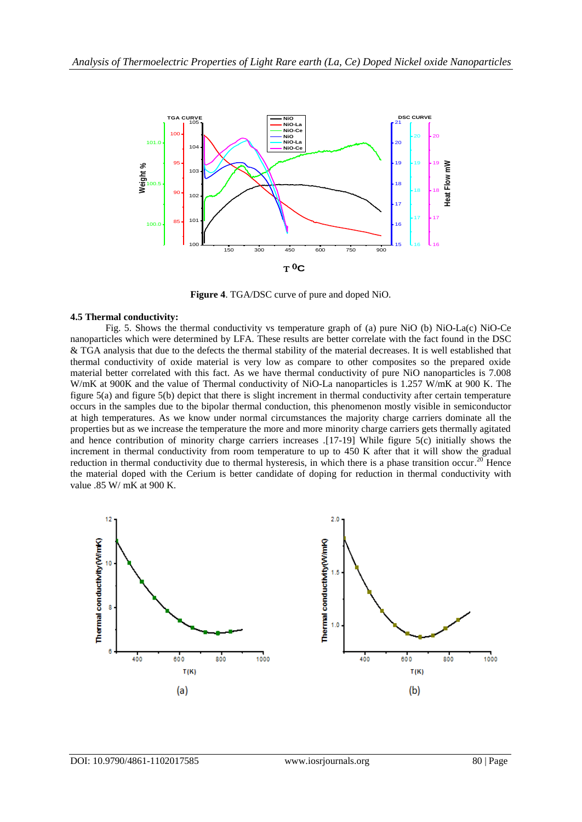

**Figure 4**. TGA/DSC curve of pure and doped NiO.

### **4.5 Thermal conductivity:**

Fig. 5. Shows the thermal conductivity vs temperature graph of (a) pure NiO (b) NiO-La(c) NiO-Ce nanoparticles which were determined by LFA. These results are better correlate with the fact found in the DSC & TGA analysis that due to the defects the thermal stability of the material decreases. It is well established that thermal conductivity of oxide material is very low as compare to other composites so the prepared oxide material better correlated with this fact. As we have thermal conductivity of pure NiO nanoparticles is 7.008 W/mK at 900K and the value of Thermal conductivity of NiO-La nanoparticles is 1.257 W/mK at 900 K. The figure 5(a) and figure 5(b) depict that there is slight increment in thermal conductivity after certain temperature occurs in the samples due to the bipolar thermal conduction, this phenomenon mostly visible in semiconductor at high temperatures. As we know under normal circumstances the majority charge carriers dominate all the properties but as we increase the temperature the more and more minority charge carriers gets thermally agitated and hence contribution of minority charge carriers increases .[17-19] While figure 5(c) initially shows the increment in thermal conductivity from room temperature to up to 450 K after that it will show the gradual reduction in thermal conductivity due to thermal hysteresis, in which there is a phase transition occur.<sup>20</sup> Hence the material doped with the Cerium is better candidate of doping for reduction in thermal conductivity with value .85 W/ mK at 900 K.

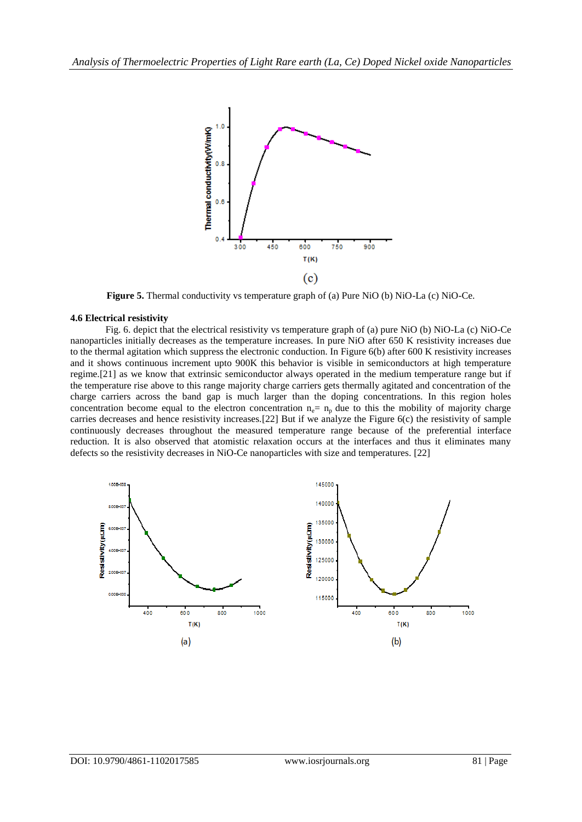

**Figure 5.** Thermal conductivity vs temperature graph of (a) Pure NiO (b) NiO-La (c) NiO-Ce.

#### **4.6 Electrical resistivity**

Fig. 6. depict that the electrical resistivity vs temperature graph of (a) pure NiO (b) NiO-La (c) NiO-Ce nanoparticles initially decreases as the temperature increases. In pure NiO after 650 K resistivity increases due to the thermal agitation which suppress the electronic conduction. In Figure 6(b) after 600 K resistivity increases and it shows continuous increment upto 900K this behavior is visible in semiconductors at high temperature regime.[21] as we know that extrinsic semiconductor always operated in the medium temperature range but if the temperature rise above to this range majority charge carriers gets thermally agitated and concentration of the charge carriers across the band gap is much larger than the doping concentrations. In this region holes concentration become equal to the electron concentration  $n_e = n_p$  due to this the mobility of majority charge carries decreases and hence resistivity increases.[22] But if we analyze the Figure 6(c) the resistivity of sample continuously decreases throughout the measured temperature range because of the preferential interface reduction. It is also observed that atomistic relaxation occurs at the interfaces and thus it eliminates many defects so the resistivity decreases in NiO-Ce nanoparticles with size and temperatures. [22]

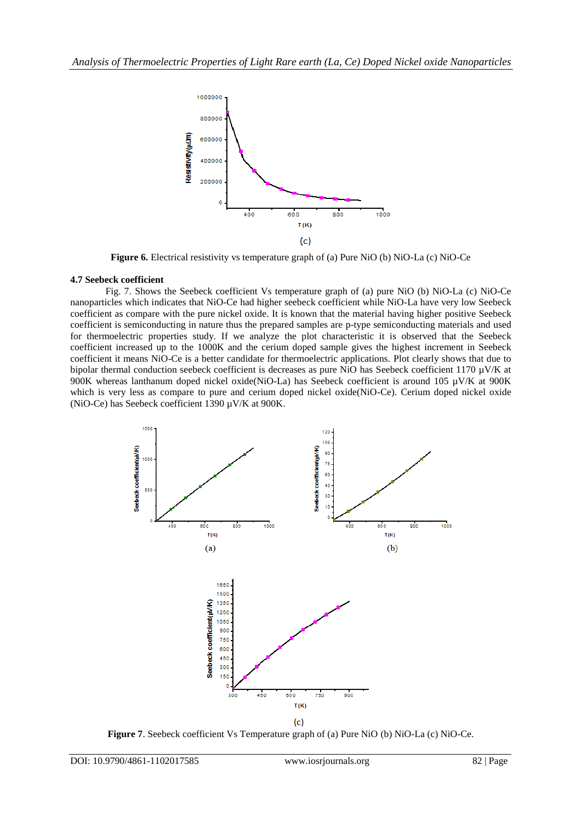

**Figure 6.** Electrical resistivity vs temperature graph of (a) Pure NiO (b) NiO-La (c) NiO-Ce

## **4.7 Seebeck coefficient**

Fig. 7. Shows the Seebeck coefficient Vs temperature graph of (a) pure NiO (b) NiO-La (c) NiO-Ce nanoparticles which indicates that NiO-Ce had higher seebeck coefficient while NiO-La have very low Seebeck coefficient as compare with the pure nickel oxide. It is known that the material having higher positive Seebeck coefficient is semiconducting in nature thus the prepared samples are p-type semiconducting materials and used for thermoelectric properties study. If we analyze the plot characteristic it is observed that the Seebeck coefficient increased up to the 1000K and the cerium doped sample gives the highest increment in Seebeck coefficient it means NiO-Ce is a better candidate for thermoelectric applications. Plot clearly shows that due to bipolar thermal conduction seebeck coefficient is decreases as pure NiO has Seebeck coefficient 1170 µV/K at 900K whereas lanthanum doped nickel oxide(NiO-La) has Seebeck coefficient is around 105 µV/K at 900K which is very less as compare to pure and cerium doped nickel oxide(NiO-Ce). Cerium doped nickel oxide (NiO-Ce) has Seebeck coefficient 1390 µV/K at 900K.



**Figure 7**. Seebeck coefficient Vs Temperature graph of (a) Pure NiO (b) NiO-La (c) NiO-Ce.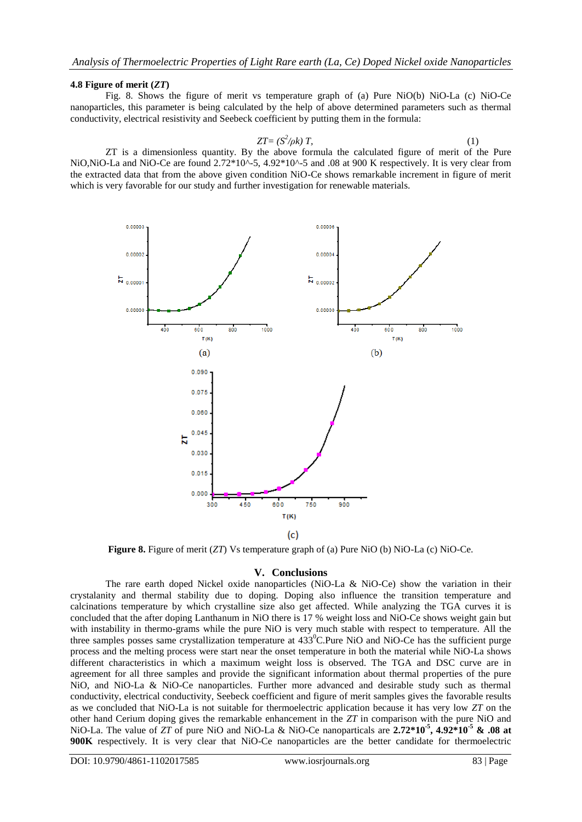#### **4.8 Figure of merit (***ZT***)**

Fig. 8. Shows the figure of merit vs temperature graph of (a) Pure NiO(b) NiO-La (c) NiO-Ce nanoparticles, this parameter is being calculated by the help of above determined parameters such as thermal conductivity, electrical resistivity and Seebeck coefficient by putting them in the formula:

$$
ZT = (S^2/\rho k) T, \tag{1}
$$

ZT is a dimensionless quantity. By the above formula the calculated figure of merit of the Pure NiO,NiO-La and NiO-Ce are found 2.72\*10^-5, 4.92\*10^-5 and .08 at 900 K respectively. It is very clear from the extracted data that from the above given condition NiO-Ce shows remarkable increment in figure of merit which is very favorable for our study and further investigation for renewable materials.



**Figure 8.** Figure of merit (*ZT*) Vs temperature graph of (a) Pure NiO (b) NiO-La (c) NiO-Ce.

#### **V. Conclusions**

The rare earth doped Nickel oxide nanoparticles (NiO-La & NiO-Ce) show the variation in their crystalanity and thermal stability due to doping. Doping also influence the transition temperature and calcinations temperature by which crystalline size also get affected. While analyzing the TGA curves it is concluded that the after doping Lanthanum in NiO there is 17 % weight loss and NiO-Ce shows weight gain but with instability in thermo-grams while the pure NiO is very much stable with respect to temperature. All the three samples posses same crystallization temperature at 433<sup>0</sup>C.Pure NiO and NiO-Ce has the sufficient purge process and the melting process were start near the onset temperature in both the material while NiO-La shows different characteristics in which a maximum weight loss is observed. The TGA and DSC curve are in agreement for all three samples and provide the significant information about thermal properties of the pure NiO, and NiO-La & NiO-Ce nanoparticles. Further more advanced and desirable study such as thermal conductivity, electrical conductivity, Seebeck coefficient and figure of merit samples gives the favorable results as we concluded that NiO-La is not suitable for thermoelectric application because it has very low *ZT* on the other hand Cerium doping gives the remarkable enhancement in the *ZT* in comparison with the pure NiO and NiO-La. The value of *ZT* of pure NiO and NiO-La & NiO-Ce nanoparticals are **2.72\*10-5 , 4.92\*10-5 & .08 at 900K** respectively. It is very clear that NiO-Ce nanoparticles are the better candidate for thermoelectric

DOI: 10.9790/4861-1102017585 www.iosrjournals.org 83 | Page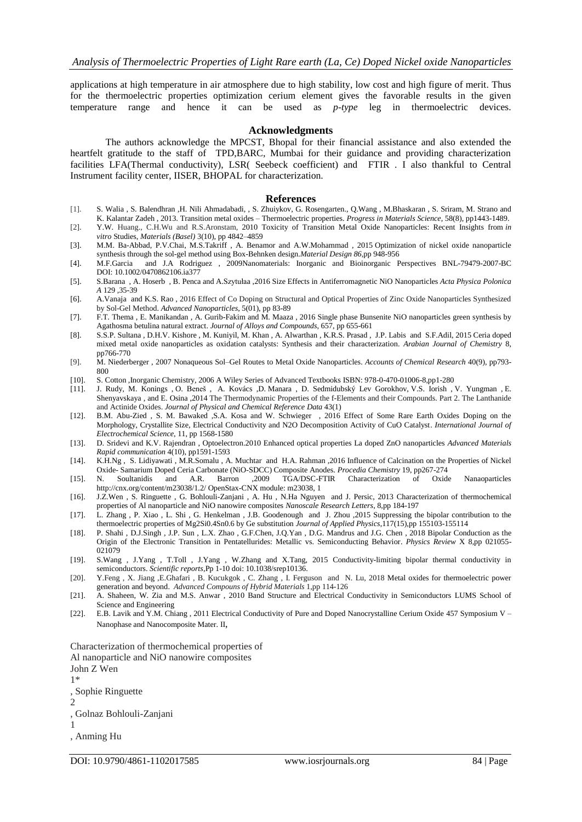applications at high temperature in air atmosphere due to high stability, low cost and high figure of merit. Thus for the thermoelectric properties optimization cerium element gives the favorable results in the given temperature range and hence it can be used as *p-type* leg in thermoelectric devices.

#### **Acknowledgments**

The authors acknowledge the MPCST, Bhopal for their financial assistance and also extended the heartfelt gratitude to the staff of TPD,BARC, Mumbai for their guidance and providing characterization facilities LFA(Thermal conductivity), LSR( Seebeck coefficient) and FTIR . I also thankful to Central Instrument facility center, IISER, BHOPAL for characterization.

#### **References**

- [1]. S. Walia , S. Balendhran ,H. Nili Ahmadabadi, , S. Zhuiykov, G. Rosengarten., Q.Wang , M.Bhaskaran , S. Sriram, M. Strano and K. Kalantar Zadeh , 2013. Transition metal oxides – Thermoelectric properties. *Progress in Materials Science*, 58(8), pp1443-1489.
- [2]. Y.W. [Huang.,](http://www.mdpi.com/search?authors=Yue-Wern%20Huang&orcid=) C.[H.Wu](http://www.mdpi.com/search?authors=Chi-heng%20Wu&orcid=) and R.[S.Aronstam,](http://www.mdpi.com/search?authors=Robert%20S.%20Aronstam&orcid=) 2010 Toxicity of Transition Metal Oxide Nanoparticles: Recent Insights from *in vitro* Studies, *[Materials \(Basel\)](https://www.ncbi.nlm.nih.gov/pmc/articles/PMC5445783/)* 3(10), pp 4842–4859
- [3]. M.M. Ba-Abbad, P.V.Chai, M.S.Takriff , A. Benamor and A.W.Mohammad , 2015 Optimization of nickel oxide nanoparticle synthesis through the sol-gel method using Box-Behnken design*.Material Design 86*,pp 948-956
- [4]. M.F.Garcia and J.A Rodriguez , 2009Nanomaterials: Inorganic and Bioinorganic Perspectives BNL-79479-2007-BC DOI: [10.1002/0470862106.ia377](http://dx.doi.org/10.1002/0470862106.ia377)
- [5]. S.Barana , A. Hoserb , B. Penca and A.Szytułaa ,2016 Size Effects in Antiferromagnetic NiO Nanoparticles *Acta Physica Polonica A* 129 ,35-39
- [6]. A.Vanaja and K.S. Rao , 2016 Effect of Co Doping on Structural and Optical Properties of Zinc Oxide Nanoparticles Synthesized by Sol-Gel Method. *Advanced Nanoparticles*, 5(01), pp 83-89
- [7]. F.T. Thema , E. Manikandan , A. Gurib-Fakim and M. Maaza , 2016 Single phase Bunsenite NiO nanoparticles green synthesis by Agathosma betulina natural extract. *Journal of Alloys and Compounds*, 657, pp 655-661
- [8]. S.S.P[. Sultana](http://www.sciencedirect.com/science/article/pii/S1878535215001446) [, D.H.V.](http://www.sciencedirect.com/science/article/pii/S1878535215001446) Kishore , M[. Kuniyil,](http://www.sciencedirect.com/science/article/pii/S1878535215001446) M[. Khan](http://www.sciencedirect.com/science/article/pii/S1878535215001446) , A[. Alwarthan](http://www.sciencedirect.com/science/article/pii/S1878535215001446) , K.R.S[. Prasad](http://www.sciencedirect.com/science/article/pii/S1878535215001446) , J.P. [Labis](http://www.sciencedirect.com/science/article/pii/S1878535215001446) an[d S.F.Adil,](http://www.sciencedirect.com/science/article/pii/S1878535215001446) 2015 Ceria doped mixed metal oxide nanoparticles as oxidation catalysts: Synthesis and their characterization. *Arabian Journal of Chemistry* 8, pp766-770
- [9]. M. Niederberger , 2007 Nonaqueous Sol–Gel Routes to Metal Oxide Nanoparticles. *Accounts of Chemical Research* 40(9), pp793- 800
- [10]. S. Cotton ,Inorganic Chemistry, 2006 A Wiley Series of Advanced Textbooks ISBN: 978-0-470-01006-8,pp1-280
- [11]. J. Rudy, M. Konings , O. Beneš , A. Kovács ,D. Manara , D. Sedmidubský Lev Gorokhov, V.S. Iorish , V. Yungman , E. Shenyavskaya , and E. Osina ,2014 The Thermodynamic Properties of the f-Elements and their Compounds. Part 2. The Lanthanide and Actinide Oxides. *Journal of Physical and Chemical [Reference](https://www.researchgate.net/journal/0047-2689_Journal_of_Physical_and_Chemical_Reference_Data) Data* 43(1)
- [12]. B.M. Abu-Zied , S. M. Bawaked ,S.A. Kosa and W. Schwieger , 2016 Effect of Some Rare Earth Oxides Doping on the Morphology, Crystallite Size, Electrical Conductivity and N2O Decomposition Activity of CuO Catalyst. *International Journal of Electrochemical Science*, 11, pp 1568-1580
- [13]. D. Sridevi and K.V. Rajendran , Optoelectron.2010 Enhanced optical properties La doped ZnO nanoparticles *Advanced Materials Rapid communication* 4(10), pp1591-1593
- [14]. K.H.Ng , S. Lidiyawati , M.R.Somalu , A. Muchtar and H.A. Rahman ,2016 Influence of Calcination on the Properties of Nickel Oxide- Samarium Doped Ceria Carbonate (NiO-SDCC) Composite Anodes. *Procedia Chemistry* 19, pp267-274
- [15]. N. Soultanidis and A.R. Barron ,2009 TGA/DSC-FTIR Characterization of Oxide Nanaoparticles http://cnx.org/content/m23038/1.2/ OpenStax-CNX module: m23038, 1
- [16]. J.Z.Wen , S. Ringuette , G. Bohlouli-Zanjani , A. Hu , N.Ha Nguyen and J. Persic, 2013 Characterization of thermochemical properties of Al nanoparticle and NiO nanowire composites *Nanoscale Research Letters*, 8,pp 184-197
- [17]. L. Zhang , P. Xiao , L. Shi , G. Henkelman , J.B. Goodenough and J. Zhou ,2015 Suppressing the bipolar contribution to the thermoelectric properties of Mg2Si0.4Sn0.6 by Ge substitution *Journal of Applied Physics*,117(15),pp 155103-155114
- [18]. P. Shahi , D.J.Singh , J.P. Sun , L.X. Zhao , G.F.Chen, J.Q.Yan , D.G. Mandrus and J.G. Chen , 2018 Bipolar Conduction as the Origin of the Electronic Transition in Pentatellurides: Metallic vs. Semiconducting Behavior. *Physics Review* X 8,pp 021055- 021079
- [19]. S.Wang , J.Yang , T.Toll , J.Yang , W.Zhang and X.Tang, 2015 Conductivity-limiting bipolar thermal conductivity in semiconductors. *Scientific reports*,Pp 1-10 doi: 10.1038/srep10136.
- [20]. Y.Feng , X. Jiang ,E.Ghafari , B. Kucukgok , C. Zhang , I. Ferguson and N. Lu, 2018 Metal oxides for thermoelectric power generation and beyond. *Advanced Compouns of Hybrid Materials* 1,pp 114-126
- [21]. A. Shaheen, W. Zia and M.S. Anwar , 2010 Band Structure and Electrical Conductivity in Semiconductors LUMS School of Science and Engineering
- [22]. E.B[. Lavik](https://www.cambridge.org/core/search?filters%5BauthorTerms%5D=E.%20B.%20Lavik&eventCode=SE-AU) and Y.M. [Chiang](https://www.cambridge.org/core/search?filters%5BauthorTerms%5D=Y.-M.%20Chiang&eventCode=SE-AU) , 2011 Electrical Conductivity of Pure and Doped Nanocrystalline Cerium Oxide 457 [Symposium](https://www.cambridge.org/core/journals/mrs-online-proceedings-library-archive/volume/symposium-v-nanophase-and-nanocomposite-materials-ii/70B9634E1953393EF2EF3D9968E248AA) V Nanophase and [Nanocomposite](https://www.cambridge.org/core/journals/mrs-online-proceedings-library-archive/volume/symposium-v-nanophase-and-nanocomposite-materials-ii/70B9634E1953393EF2EF3D9968E248AA) Mater. II,

Characterization of thermochemical properties of

Al nanoparticle and NiO nanowire composites

- John Z Wen 1\* , Sophie Ringuette 2 , Golnaz Bohlouli-Zanjani 1
- , Anming Hu